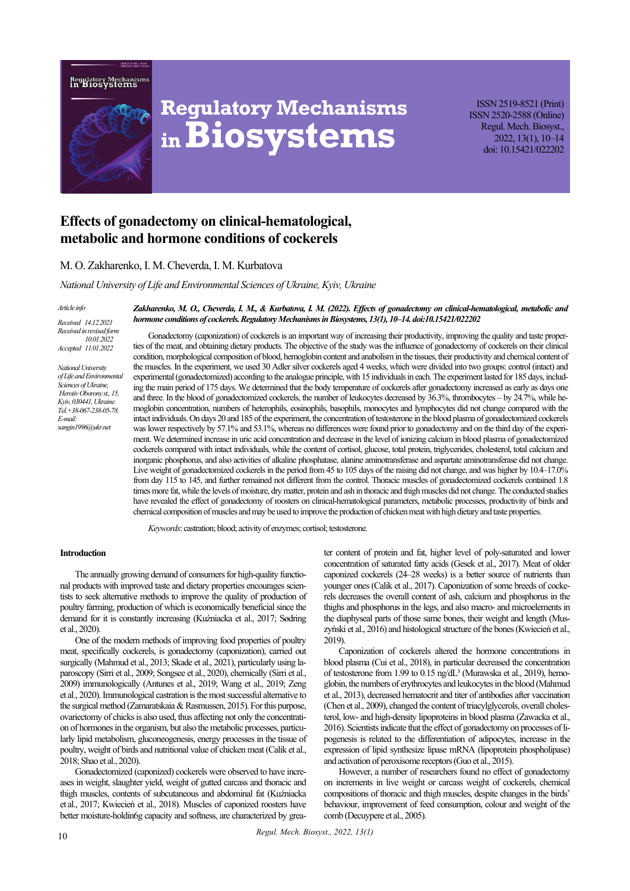**Regulatory Mechanis:**<br>in **Biosystems** 



# **Regulatory Mechanisms inBiosystems**

ISSN 2519-8521 (Print) ISSN 2520-2588 (Online) Regul. Mech. Biosyst., 2022, 13(1), 10–14 doi: 10.15421/022202

# **Effects of gonadectomy on clinical-hematological, metabolic and hormone conditions of cockerels**

# М. О. Zakharenko, І. М. Cheverda, І. М. Kurbatova

*National University of Life and Environmental Sciences of Ukraine, Kyiv, Ukraine*

#### *Article info*

*Received 14.12.2021 Received in revised form 10.01.2022 Accepted 11.01.2022*

*National University of Life and Environmental Sciences of Ukraine, Heroiiv Oborony st., 15, Kyiv, 030441, Ukraine. Tel.+38-067-238-05-78. E-mail: sangin1996@ukr.net*

*Zakharenko, М. О., Cheverda, І. М., & Kurbatova, І. М. (2022). Effects of gonadectomy on clinical-hematological, metabolic and hormone conditions of cockerels. Regulatory Mechanisms in Biosystems, 13(1), 10–14. doi:10.15421/022202*

Gonadectomy (caponization) of cockerels is an important way of increasing their productivity, improving the quality and taste properties of the meat, and obtaining dietary products. The objective of the study was the influence of gonadectomy of cockerels on their clinical condition, morphological composition of blood, hemoglobin content and anabolism in the tissues, their productivity and chemical content of the muscles. In the experiment, we used 30 Adler silver cockerels aged 4 weeks, which were divided into two groups: control (intact) and experimental (gonadectomized) according to the analogue principle, with 15 individuals in each. The experiment lasted for 185 days, including the main period of 175 days. We determined that the body temperature of cockerels after gonadectomy increased as early as days one and three. In the blood of gonadectomized cockerels, the number of leukocytes decreased by 36.3%, thrombocytes – by 24.7%, while hemoglobin concentration, numbers of heterophils, eosinophils, basophils, monocytes and lymphocytes did not change compared with the intact individuals. On days 20 and 185 of the experiment, the concentration of testosterone in the blood plasma of gonadectomized cockerels was lower respectively by 57.1% and 53.1%, whereas no differences were found prior to gonadectomy and on the third day of the experiment. We determined increase in uric acid concentration and decrease in the level of ionizing calcium in blood plasma of gonadectomized cockerels compared with intact individuals, while the content of cortisol, glucose, total protein, triglycerides, cholesterol, total calcium and inorganic phosphorus, and also activities of alkaline phosphatase, alanine aminotransferase and aspartate aminotransferase did not change. Live weight of gonadectomized cockerels in the period from 45 to 105 days of the raising did not change, and was higher by 10.4–17.0% from day 115 to 145, and further remained not different from the control. Thoracic muscles of gonadectomized cockerels contained 1.8 times more fat, while the levels of moisture, dry matter, protein and ash in thoracic and thigh muscles did not change. The conducted studies have revealed the effect of gonadectomy of roosters on clinical-hematological parameters, metabolic processes, productivity of birds and chemical composition of muscles and may be used to improve the production of chicken meat with high dietary and taste properties.

Keywords: castration; blood; activity of enzymes; cortisol; testosterone.

#### **Introduction**

The annually growing demand of consumers for high-quality functional products with improved taste and dietary properties encourages scientists to seek alternative methods to improve the quality of production of poultry farming, production of which is economically beneficial since the demand for it is constantly increasing (Kuźniacka et al., 2017; Sødring et al., 2020).

One of the modern methods of improving food properties of poultry meat, specifically cockerels, is gonadectomy (caponization), carried out surgically (Mahmud et al., 2013; Skade et al., 2021), particularly using laparoscopy (Sirri et al., 2009; Songsee et al., 2020), chemically (Sirri et al., 2009) immunologically (Antunes et al., 2019; Wang et al., 2019; Zeng et al., 2020). Immunological castration is the most successful alternative to the surgical method (Zamaratskaia & Rasmussen, 2015). For this purpose, ovariectomy of chicks is also used, thus affecting not only the concentration of hormones in the organism, but also the metabolic processes, particularly lipid metabolism, gluconeogenesis, energy processes in the tissue of poultry, weight of birds and nutritional value of chicken meat (Calik et al., 2018; Shao et al., 2020).

Gonadectomized (caponized) cockerels were observed to have increases in weight, slaughter yield, weight of gutted carcass and thoracic and thigh muscles, contents of subcutaneous and abdominal fat (Kuźniacka et al., 2017; Kwiecień et al., 2018). Muscles of caponized roosters have better moisture-holdin6g capacity and softness, are characterized by greater content of protein and fat, higher level of poly-saturated and lower concentration of saturated fatty acids (Gesek et al., 2017). Meat of older caponized cockerels (24–28 weeks) is a better source of nutrients than younger ones (Calik et al., 2017). Caponization of some breeds of cockerels decreases the overall content of ash, calcium and phosphorus in the thighs and phosphorus in the legs, and also macro- and microelements in the diaphyseal parts of those same bones, their weight and length (Muszyński et al., 2016) and histological structure of the bones (Kwiecień et al., 2019).

Caponization of cockerels altered the hormone concentrations in blood plasma (Cui et al., 2018), in particular decreased the concentration of testosterone from 1.99 to 0.15 ng/dL<sup>3</sup> (Murawska et al., 2019), hemoglobin, the numbers of erythrocytes and leukocytes in the blood (Mahmud et al., 2013), decreased hematocrit and titer of antibodies after vaccination (Chen et al., 2009), changed the content of triacylglycerols, overall cholesterol, low- and high-density lipoproteins in blood plasma (Zawacka et al., 2016). Scientists indicate that the effect of gonadectomy on processes of lipogenesis is related to the differentiation of adipocytes, increase in the expression of lipid synthesize lipase mRNA (lipoprotein phospholipase) and activation of peroxisome receptors (Guo et al., 2015).

However, a number of researchers found no effect of gonadectomy on increments in live weight or carcass weight of cockerels, chemical compositions of thoracic and thigh muscles, despite changes in the birds' behaviour, improvement of feed consumption, colour and weight of the comb (Decuypere et al., 2005).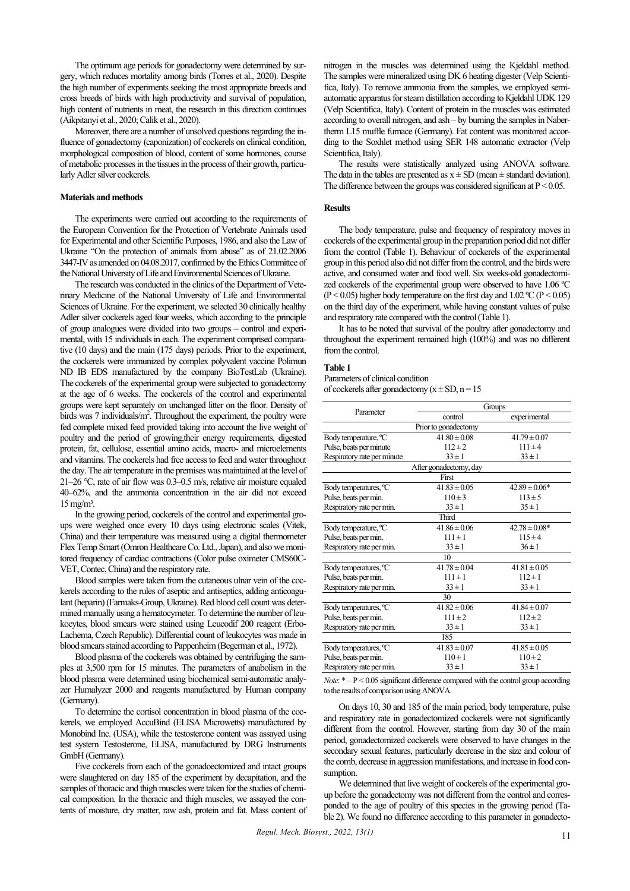The optimum age periods for gonadectomy were determined by surgery, which reduces mortality among birds (Torres et al., 2020). Despite the high number of experiments seeking the most appropriate breeds and cross breeds of birds with high productivity and survival of population, high content of nutrients in meat, the research in this direction continues (Aikpitanyi et al., 2020; Calik et al., 2020).

Moreover, there are a number of unsolved questions regarding the influence of gonadectomy (caponization) of cockerels on clinical condition, morphological composition of blood, content of some hormones, course of metabolic processes in the tissues in the process of their growth, particularly Adler silver cockerels.

#### **Materials and methods**

The experiments were carried out according to the requirements of the European Convention for the Protection of Vertebrate Animals used for Experimental and other Scientific Purposes, 1986, and also the Law of Ukraine "On the protection of animals from abuse" as of 21.02.2006 3447-IV as amended on 04.08.2017, confirmed by the Ethics Committee of the National University of Life and Environmental Sciences of Ukraine.

The research was conducted in the clinics of the Department of Veterinary Medicine of the National University of Life and Environmental Sciences of Ukraine. For the experiment, we selected 30 clinically healthy Adler silver cockerels aged four weeks, which according to the principle of group analogues were divided into two groups – control and experimental, with 15 individuals in each. The experiment comprised comparative (10 days) and the main (175 days) periods. Prior to the experiment, the cockerels were immunized by complex polyvalent vaccine Polimun ND IB EDS manufactured by the company BioTestLab (Ukraine). The cockerels of the experimental group were subjected to gonadectomy at the age of 6 weeks. The cockerels of the control and experimental groups were kept separately on unchanged litter on the floor. Density of birds was 7 individuals/m<sup>2</sup>. Throughout the experiment, the poultry were fed complete mixed feed provided taking into account the live weight of poultry and the period of growing,their energy requirements, digested protein, fat, cellulose, essential amino acids, macro- and microelements and vitamins. The cockerels had free access to feed and water throughout the day. The air temperature in the premises was maintained at the level of 21–26 °C, rate of air flow was  $0.3-0.5$  m/s, relative air moisture equaled 40–62%, and the ammonia concentration in the air did not exceed  $15$  mg/m<sup>3</sup>.

In the growing period, cockerels of the control and experimental groups were weighed once every 10 days using electronic scales (Vitek, China) and their temperature was measured using a digital thermometer Flex Temp Smart (Omron Healthcare Co.Ltd., Japan), and also we monitored frequency of cardiac contractions (Color pulse oximeter CMS60C-VET, Contec, China) and the respiratory rate.

Blood samples were taken from the cutaneous ulnar vein of the cockerels according to the rules of aseptic and antiseptics, adding anticoagulant (heparin) (Farmaks-Group, Ukraine). Red blood cell count was determined manually using a hematocymeter. To determine the number of leukocytes, blood smears were stained using Leucodif 200 reagent (Erbo-Lachema, Czech Republic). Differential count of leukocytes was made in blood smears stained according to Pappenheim (Begerman et al., 1972).

Blood plasma of the cockerels was obtained by centrifuging the samples at 3,500 rpm for 15 minutes. The parameters of anabolism in the blood plasma were determined using biochemical semi-automatic analyzer Humalyzer 2000 and reagents manufactured by Human company (Germany).

To determine the cortisol concentration in blood plasma of the cockerels, we employed AccuBind (ELISA Microwetts) manufactured by Monobind Inc. (USA), while the testosterone content was assayed using test system Testosterone, ELISА, manufactured by DRG Instruments GmbH (Germany).

Five cockerels from each of the gonadoectomized and intact groups were slaughtered on day 185 of the experiment by decapitation, and the samples of thoracic and thigh muscles were taken for the studies of chemical composition. In the thoracic and thigh muscles, we assayed the contents of moisture, dry matter, raw ash, protein and fat. Mass content of nitrogen in the muscles was determined using the Kjeldahl method. The samples were mineralized using DK 6 heating digester (Velp Scientifica, Italy). To remove ammonia from the samples, we employed semiautomatic apparatus for steam distillation according to Kjeldahl UDK 129 (Velp Scientifica, Italy). Content of protein in the muscles was estimated according to overall nitrogen, and ash – by burning the samples in Nabertherm L15 muffle furnace (Germany). Fat content was monitored according to the Soxhlet method using SER 148 automatic extractor (Velp Scientifica, Italy).

The results were statistically analyzed using ANOVA software. The data in the tables are presented as  $x \pm SD$  (mean  $\pm$  standard deviation). The difference between the groups was considered significan at  $P < 0.05$ .

#### **Results**

The body temperature, pulse and frequency of respiratory moves in cockerels of the experimental group in the preparation period did not differ from the control (Table 1). Behaviour of cockerels of the experimental group in this period also did not differ from the control, and the birds were active, and consumed water and food well. Six weeks-old gonadectomized cockerels of the experimental group were observed to have 1.06 ºС (P < 0.05) higher body temperature on the first day and 1.02 °C (P < 0.05) on the third day of the experiment, while having constant values of pulse and respiratory rate compared with the control (Table 1).

It has to be noted that survival of the poultry after gonadectomy and throughout the experiment remained high (100%) and was no different from the control.

#### **Table 1**

Parameters of clinical condition

of cockerels after gonadectomy  $(x \pm SD, n = 15$ 

| Parameter                                             | Groups                               |                   |  |  |  |  |
|-------------------------------------------------------|--------------------------------------|-------------------|--|--|--|--|
|                                                       | control                              | experimental      |  |  |  |  |
|                                                       | Prior to gonadectomy                 |                   |  |  |  |  |
| Body temperature, °C                                  | $41.80 \pm 0.08$<br>$41.79 \pm 0.07$ |                   |  |  |  |  |
| Pulse, beats per minute                               | $112 \pm 2$                          | $111 \pm 4$       |  |  |  |  |
| Respiratory rate per minute                           | $33 \pm 1$                           | $33 \pm 1$        |  |  |  |  |
|                                                       | After gonadectomy, day               |                   |  |  |  |  |
|                                                       | <b>First</b>                         |                   |  |  |  |  |
| Body temperatures, <sup>o</sup> C                     | $41.83 \pm 0.05$                     | $42.89 \pm 0.06*$ |  |  |  |  |
| Pulse, beats per min.                                 | $110 \pm 3$                          | $113 \pm 5$       |  |  |  |  |
| Respiratory rate per min.                             | $33 \pm 1$                           | $35 \pm 1$        |  |  |  |  |
| Third                                                 |                                      |                   |  |  |  |  |
| Body temperature, °C                                  | $41.86 \pm 0.06$                     | $42.78 \pm 0.08*$ |  |  |  |  |
| Pulse, beats per min.                                 | $111 \pm 1$                          | $115 \pm 4$       |  |  |  |  |
| Respiratory rate per min.                             | $33 \pm 1$<br>$36 \pm 1$             |                   |  |  |  |  |
|                                                       | 10                                   |                   |  |  |  |  |
| $41.78 \pm 0.04$<br>Body temperatures, <sup>o</sup> C |                                      | $41.81 \pm 0.05$  |  |  |  |  |
| Pulse, beats per min.                                 | $111 \pm 1$<br>$112 \pm 1$           |                   |  |  |  |  |
| Respiratory rate per min.                             | $33 \pm 1$<br>$33 \pm 1$             |                   |  |  |  |  |
| 30                                                    |                                      |                   |  |  |  |  |
| Body temperatures, <sup>o</sup> C                     | $41.82 \pm 0.06$                     | $41.84 \pm 0.07$  |  |  |  |  |
| Pulse, beats per min.                                 | $111 \pm 2$<br>$112 \pm 2$           |                   |  |  |  |  |
| Respiratory rate per min.                             | $33 \pm 1$<br>$33 \pm 1$             |                   |  |  |  |  |
| 185                                                   |                                      |                   |  |  |  |  |
| Body temperatures, <sup>o</sup> C                     | $41.83 \pm 0.07$                     | $41.85 \pm 0.05$  |  |  |  |  |
| Pulse, beats per min.                                 | $110 \pm 1$                          | $110 \pm 2$       |  |  |  |  |
| Respiratory rate per min.                             | $33 \pm 1$                           | $33 \pm 1$        |  |  |  |  |

*Note*:  $* - P \leq 0.05$  significant difference compared with the control group according to the results of comparison usingANOVA.

On days 10, 30 and 185 of the main period, body temperature, pulse and respiratory rate in gonadectomized cockerels were not significantly different from the control. However, starting from day 30 of the main period, gonadectomized cockerels were observed to have changes in the secondary sexual features, particularly decrease in the size and colour of the comb, decrease in aggression manifestations, and increase in food consumption.

We determined that live weight of cockerels of the experimental group before the gonadectomy was not different from the control and corresponded to the age of poultry of this species in the growing period (Table 2). We found no difference according to this parameter in gonadecto-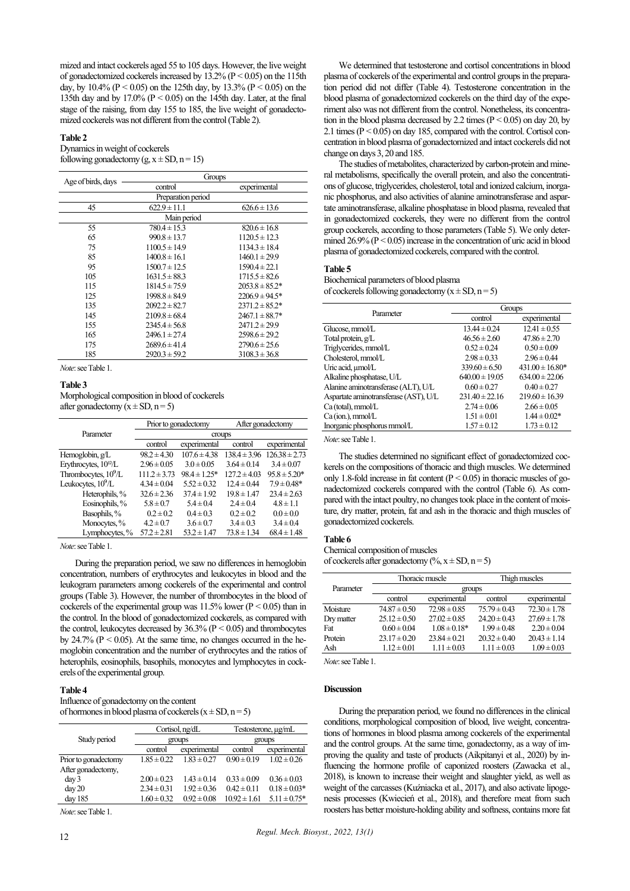mized and intact cockerels aged 55 to 105 days. However, the live weight of gonadectomized cockerels increased by  $13.2\%$  (P < 0.05) on the 115th day, by 10.4% ( $P < 0.05$ ) on the 125th day, by 13.3% ( $P < 0.05$ ) on the 135th day and by 17.0% (P < 0.05) on the 145th day. Later, at the final stage of the raising, from day 155 to 185, the live weight of gonadectomized cockerels was not different from the control (Table 2).

## **Table 2**

#### Dynamics in weight of cockerels following gonadectomy (g,  $x \pm SD$ , n = 15)

| Age of birds, days | Groups            |                     |  |  |  |
|--------------------|-------------------|---------------------|--|--|--|
|                    | control           | experimental        |  |  |  |
| Preparation period |                   |                     |  |  |  |
| 45                 | $622.9 \pm 11.1$  | $626.6 \pm 13.6$    |  |  |  |
|                    | Main period       |                     |  |  |  |
| 55                 | $780.4 \pm 15.3$  | $820.6 \pm 16.8$    |  |  |  |
| 65                 | $990.8 \pm 13.7$  | $1120.5 \pm 12.3$   |  |  |  |
| 75                 | $1100.5 \pm 14.9$ | $1134.3 \pm 18.4$   |  |  |  |
| 85                 | $1400.8 \pm 16.1$ | $1460.1 \pm 29.9$   |  |  |  |
| 95                 | $1500.7 \pm 12.5$ | $1590.4 \pm 22.1$   |  |  |  |
| 105                | $1631.5 \pm 88.3$ | $1715.5 \pm 82.6$   |  |  |  |
| 115                | $1814.5 \pm 75.9$ | $2053.8 \pm 85.2^*$ |  |  |  |
| 125                | $1998.8 \pm 84.9$ | $2206.9 \pm 94.5*$  |  |  |  |
| 135                | $2092.2 \pm 82.7$ | $2371.2 \pm 85.2^*$ |  |  |  |
| 145                | $2109.8 \pm 68.4$ | $2467.1 \pm 88.7*$  |  |  |  |
| 155                | $2345.4 \pm 56.8$ | $2471.2 \pm 29.9$   |  |  |  |
| 165                | $2496.1 \pm 27.4$ | $2598.6 \pm 29.2$   |  |  |  |
| 175                | $2689.6 \pm 41.4$ | $2790.6 \pm 25.6$   |  |  |  |
| 185                | $2920.3 \pm 59.2$ | $3108.3 \pm 36.8$   |  |  |  |

*Note*: see Table 1.

#### **Table 3**

Morphological composition in blood of cockerels after gonadectomy  $(x \pm SD, n = 5)$ 

|                                   | Prior to gonadectomy |                  | After gonadectomy |                   |
|-----------------------------------|----------------------|------------------|-------------------|-------------------|
| Parameter                         | croups               |                  |                   |                   |
|                                   | control              | experimental     | control           | experimental      |
| Hemoglobin, g/L                   | $98.2 \pm 4.30$      | $107.6 \pm 4.38$ | $138.4 \pm 3.96$  | $126.38 \pm 2.73$ |
| Erythrocytes, 10 <sup>12</sup> /L | $2.96 \pm 0.05$      | $3.0 \pm 0.05$   | $3.64 \pm 0.14$   | $3.4 \pm 0.07$    |
| Thrombocytes, 10 <sup>9</sup> /L  | $111.2 \pm 3.73$     | $98.4 \pm 1.25*$ | $127.2 \pm 4.03$  | $95.8 \pm 5.20*$  |
| Leukocytes, $10^9$ /L             | $4.34 \pm 0.04$      | $5.52 \pm 0.32$  | $12.4 \pm 0.44$   | $7.9 \pm 0.48*$   |
| Heterophils, %                    | $32.6 \pm 2.36$      | $374 \pm 1.92$   | $19.8 \pm 1.47$   | $234 \pm 263$     |
| Eosinophils, %                    | $5.8 \pm 0.7$        | $5.4 \pm 0.4$    | $2.4 \pm 0.4$     | $4.8 \pm 1.1$     |
| Basophils, %                      | $0.2 \pm 0.2$        | $0.4 \pm 0.3$    | $0.2 \pm 0.2$     | $0.0 \pm 0.0$     |
| Monocytes, %                      | $4.2 \pm 0.7$        | $3.6 \pm 0.7$    | $3.4 \pm 0.3$     | $3.4 \pm 0.4$     |
| Lymphocytes, %                    | $57.2 \pm 2.81$      | $53.2 \pm 1.47$  | $73.8 \pm 1.34$   | $68.4 \pm 1.48$   |

*Note*: see Table 1.

During the preparation period, we saw no differences in hemoglobin concentration, numbers of erythrocytes and leukocytes in blood and the leukogram parameters among cockerels of the experimental and control groups (Table 3). However, the number of thrombocytes in the blood of cockerels of the experimental group was  $11.5\%$  lower ( $P < 0.05$ ) than in the control. In the blood of gonadectomized cockerels, as compared with the control, leukocytes decreased by  $36.3\%$  ( $P < 0.05$ ) and thrombocytes by  $24.7\%$  ( $P < 0.05$ ). At the same time, no changes occurred in the hemoglobin concentration and the number of erythrocytes and the ratios of heterophils, eosinophils, basophils, monocytes and lymphocytes in cockerels of the experimental group.

#### **Table 4**

Influence of gonadectomy on the content of hormones in blood plasma of cockerels  $(x \pm SD, n = 5)$ 

|                      | Cortisol, ng/dL |                 | Testosterone, ug/mL |                   |
|----------------------|-----------------|-----------------|---------------------|-------------------|
| Study period         | groups          |                 | groups              |                   |
|                      | control         | experimental    | control             | experimental      |
| Prior to gonadectomy | $1.85 \pm 0.22$ | $1.83 \pm 0.27$ | $0.90 \pm 0.19$     | $1.02 \pm 0.26$   |
| After gonadectomy,   |                 |                 |                     |                   |
| day <sub>3</sub>     | $2.00 \pm 0.23$ | $1.43 \pm 0.14$ | $0.33 \pm 0.09$     | $0.36 \pm 0.03$   |
| day 20               | $2.34 \pm 0.31$ | $1.92 \pm 0.36$ | $0.42 \pm 0.11$     | $0.18 \pm 0.03*$  |
| day 185              | $1.60 \pm 0.32$ | $0.92 \pm 0.08$ | $10.92 \pm 1.61$    | $5.11 \pm 0.75$ * |

*Note*: see Table 1.

The studies of metabolites, characterized by carbon-protein and mineral metabolisms, specifically the overall protein, and also the concentrations of glucose, triglycerides, cholesterol, total and ionized calcium, inorganic phosphorus, and also activities of alanine aminotransferase and aspartate aminotransferase, alkaline phosphatase in blood plasma, revealed that in gonadectomized cockerels, they were no different from the control group cockerels, according to those parameters (Table 5). We only determined  $26.9\%$  ( $P \le 0.05$ ) increase in the concentration of uric acid in blood plasma of gonadectomized cockerels, compared with the control.

#### **Table 5**

Biochemical parameters of blood plasma of cockerels following gonadectomy  $(x \pm SD, n = 5)$ 

| Parameter                             | Groups             |                     |  |
|---------------------------------------|--------------------|---------------------|--|
|                                       | control            | experimental        |  |
| Glucose, mmol/L                       | $13.44 \pm 0.24$   | $12.41 \pm 0.55$    |  |
| Total protein, g/L                    | $46.56 \pm 2.60$   | $47.86 \pm 2.70$    |  |
| Triglycerides, mmol/L                 | $0.52 \pm 0.24$    | $0.50 \pm 0.09$     |  |
| Cholesterol, mmol/L                   | $2.98 \pm 0.33$    | $2.96 \pm 0.44$     |  |
| Uric acid, umol/L                     | $339.60 \pm 6.50$  | $431.00 \pm 16.80*$ |  |
| Alkaline phosphatase, U/L             | $640.00 \pm 19.05$ | $634.00 \pm 22.06$  |  |
| Alanine aminotransferase (ALT), U/L   | $0.60 \pm 0.27$    | $0.40 \pm 0.27$     |  |
| Aspartate aminotransferase (AST), U/L | $231.40 \pm 22.16$ | $219.60 \pm 16.39$  |  |
| Ca (total), mmol/L                    | $2.74 \pm 0.06$    | $2.66 \pm 0.05$     |  |
| $Ca (ion.)$ , mmol/L                  | $1.51 \pm 0.01$    | $1.44 \pm 0.02*$    |  |
| Inorganic phosphorus mmol/L           | $1.57 \pm 0.12$    | $1.73 \pm 0.12$     |  |

*Note*: see Table 1.

The studies determined no significant effect of gonadectomized cockerels on the compositions of thoracic and thigh muscles. We determined only 1.8-fold increase in fat content  $(P < 0.05)$  in thoracic muscles of gonadectomized cockerels compared with the control (Table 6). As compared with the intact poultry, no changes took place in the content of moisture, dry matter, protein, fat and ash in the thoracic and thigh muscles of gonadectomized cockerels.

#### **Table 6**

Chemical composition of muscles of cockerels after gonadectomy ( $\%$ , x  $\pm$  SD, n = 5)

|            | Thoracic muscle  |                  | Thigh muscles    |                  |
|------------|------------------|------------------|------------------|------------------|
| Parameter  | groups           |                  |                  |                  |
|            | control          | experimental     | control          | experimental     |
| Moisture   | $74.87 \pm 0.50$ | $72.98 \pm 0.85$ | $75.79 \pm 0.43$ | $72.30 \pm 1.78$ |
| Dry matter | $25.12 \pm 0.50$ | $27.02 \pm 0.85$ | $24.20 \pm 0.43$ | $27.69 \pm 1.78$ |
| Fat        | $0.60 \pm 0.04$  | $1.08 \pm 0.18*$ | $1.99 \pm 0.48$  | $2.20 \pm 0.04$  |
| Protein    | $23.17 \pm 0.20$ | $23.84 \pm 0.21$ | $20.32 \pm 0.40$ | $20.43 \pm 1.14$ |
| Ash        | $1.12 \pm 0.01$  | $1.11 \pm 0.03$  | $1.11 \pm 0.03$  | $1.09 \pm 0.03$  |

*Note*: see Table 1.

## **Discussion**

During the preparation period, we found no differences in the clinical conditions, morphological composition of blood, live weight, concentrations of hormones in blood plasma among cockerels of the experimental and the control groups. At the same time, gonadectomy, as a way of improving the quality and taste of products (Aikpitanyi et al., 2020) by influencing the hormone profile of caponized roosters (Zawacka et al., 2018), is known to increase their weight and slaughter yield, as well as weight of the carcasses (Kuźniacka et al., 2017), and also activate lipogenesis processes (Kwiecień et al., 2018), and therefore meat from such roosters has better moisture-holding ability and softness, contains more fat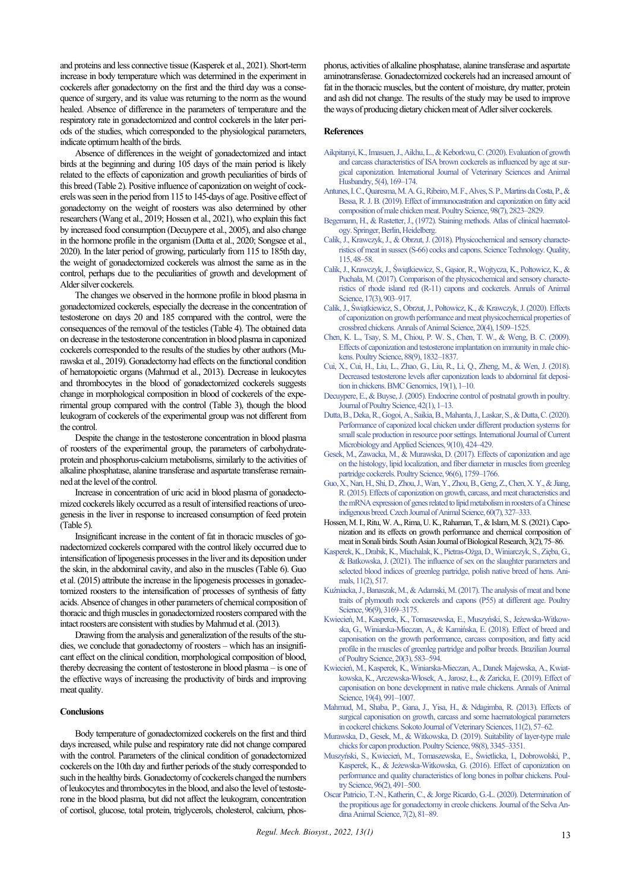and proteins and less connective tissue (Kasperek et al., 2021). Short-term increase in body temperature which was determined in the experiment in cockerels after gonadectomy on the first and the third day was a consequence of surgery, and its value was returning to the norm as the wound healed. Absence of difference in the parameters of temperature and the respiratory rate in gonadectomized and control cockerels in the later periods of the studies, which corresponded to the physiological parameters, indicate optimum health of the birds.

Absence of differences in the weight of gonadectomized and intact birds at the beginning and during 105 days of the main period is likely related to the effects of caponization and growth peculiarities of birds of this breed (Table 2). Positive influence of caponization on weight of cockerels was seen in the period from 115 to 145-days of age. Positive effect of gonadectomy on the weight of roosters was also determined by other researchers (Wang et al., 2019; Hossen et al., 2021), who explain this fact by increased food consumption (Decuypere et al., 2005), and also change in the hormone profile in the organism (Dutta et al., 2020; Songsee et al., 2020). In the later period of growing, particularly from 115 to 185th day, the weight of gonadectomized cockerels was almost the same as in the control, perhaps due to the peculiarities of growth and development of Alder silver cockerels.

The changes we observed in the hormone profile in blood plasma in gonadectomized cockerels, especially the decrease in the concentration of testosterone on days 20 and 185 compared with the control, were the consequences of the removal of the testicles (Table 4). The obtained data on decrease in the testosterone concentration in blood plasma in caponized cockerels corresponded to the results of the studies by other authors (Murawska et al., 2019). Gonadectomy had effects on the functional condition of hematopoietic organs (Mahmud et al., 2013). Decrease in leukocytes and thrombocytes in the blood of gonadectomized cockerels suggests change in morphological composition in blood of cockerels of the experimental group compared with the control (Table 3), though the blood leukogram of cockerels of the experimental group was not different from the control.

Despite the change in the testosterone concentration in blood plasma of roosters of the experimental group, the parameters of carbohydrateprotein and phosphorus-calcium metabolisms, similarly to the activities of alkaline phosphatase, alanine transferase and aspartate transferase remainned at the level of the control.

Increase in concentration of uric acid in blood plasma of gonadectomized cockerels likely occurred as a result of intensified reactions of ureogenesis in the liver in response to increased consumption of feed protein (Table 5).

Insignificant increase in the content of fat in thoracic muscles of gonadectomized cockerels compared with the control likely occurred due to intensification of lipogenesis processes in the liver and its deposition under the skin, in the abdominal cavity, and also in the muscles (Table 6). Guo et al. (2015) attribute the increase in the lipogenesis processes in gonadectomized roosters to the intensification of processes of synthesis of fatty acids. Absence of changes in other parameters of chemical composition of thoracic and thigh muscles in gonadectomized roosters compared with the intact roosters are consistent with studies by Mahmud et al. (2013).

Drawing from the analysis and generalization of the results of the studies, we conclude that gonadectomy of roosters – which has an insignificant effect on the clinical condition, morphological composition of blood, thereby decreasing the content of testosterone in blood plasma – is one of the effective ways of increasing the productivity of birds and improving meat quality.

#### **Conclusions**

Body temperature of gonadectomized cockerels on the first and third days increased, while pulse and respiratory rate did not change compared with the control. Parameters of the clinical condition of gonadectomized cockerels on the 10th day and further periods of the study corresponded to such in the healthy birds. Gonadectomy of cockerels changed the numbers of leukocytes and thrombocytes in the blood, and also the level of testosterone in the blood plasma, but did not affect the leukogram, concentration of cortisol, glucose, total protein, triglycerols, cholesterol, calcium, phosphorus, activities of alkaline phosphatase, alanine transferase and aspartate aminotransferase. Gonadectomized cockerels had an increased amount of fat in the thoracic muscles, but the content of moisture, dry matter, protein and ash did not change. The results of the study may be used to improve the ways of producing dietary chicken meat of Adler silver cockerels.

#### **References**

- [Aikpitanyi, K., Imasuen, J., Aikhu, L., & Keborkwu, C. \(2020\). Evaluation of growth](http://doi.org/10.22271/veterinary.2020.v5.i4c.292)  [and carcass characteristics of ISA brown cockerels as influenced by age at sur](http://doi.org/10.22271/veterinary.2020.v5.i4c.292)[gical caponization. International Journal of Veterinary Sciences and Animal](http://doi.org/10.22271/veterinary.2020.v5.i4c.292)  [Husbandry, 5\(4\), 169–174.](http://doi.org/10.22271/veterinary.2020.v5.i4c.292)
- [Antunes, I. C., Quaresma, M. A. G., Ribeiro, M. F., Alves, S. P., Martins da Costa, P.,&](http://doi.org/10.3382/ps/pez034)  [Bessa, R. J. B. \(2019\). Effect of immunocastration and caponization on fatty acid](http://doi.org/10.3382/ps/pez034)  [composition of male chicken meat. Poultry Science, 98\(7\), 2823–2829.](http://doi.org/10.3382/ps/pez034)
- [Begemann, H., & Rastetter, J., \(1972\). Staining methods. Atlas of clinical haematol](http://doi.org/10.1007/978-3-642-96116-8_2)[ogy. Springer, Berlin, Heidelberg.](http://doi.org/10.1007/978-3-642-96116-8_2)
- [Calik, J., Krawczyk, J., & Obrzut, J. \(2018\). Physicochemical and sensory characte](http://doi.org/10.15193/ZNTJ/2018/115/232)[ristics of meat in sussex \(S-66\) cocks and capons. Science Technology. Quality,](http://doi.org/10.15193/ZNTJ/2018/115/232)  [115, 48–58.](http://doi.org/10.15193/ZNTJ/2018/115/232)
- [Calik, J., Krawczyk, J., Świątkiewicz, S., Gąsior, R., Wojtycza, K., Połtowicz, K., &](http://doi.org/10.1515/aoas-2017-0002)  [Puchała, M. \(2017\). Comparison of the physicochemical and sensory charact](http://doi.org/10.1515/aoas-2017-0002)e[ristics of rhode island red \(R-11\) capons and cockerels. Annals of Animal](http://doi.org/10.1515/aoas-2017-0002)  Science, 17(3), 903-917.
- [Calik, J., Świątkiewicz, S., Obrzut, J., Połtowicz, K.](http://doi.org/10.2478/aoas-2020-0073), & Krawczyk, J. (2020). Effects [of caponization on growth performance and meat physicochemical properties of](http://doi.org/10.2478/aoas-2020-0073)  crossbred chickens. Annals of Animal Science, 20(4), 1509-1525.
- [Chen, K. L., Tsay, S. M., Chiou, P. W. S., Chen, T. W., & Weng, B. C. \(2009\).](http://doi.org/10.3382/ps.2009-00104)  [Effects of caponization and testosterone implantation on immunity in male chic](http://doi.org/10.3382/ps.2009-00104)[kens. Poultry Science, 88\(9\), 1832–1837.](http://doi.org/10.3382/ps.2009-00104)
- [Cui, X., Cui, H., Liu, L., Zhao, G., Liu, R., Li, Q., Zheng, M., & Wen, J. \(2018\).](http://doi.org/10.1186/s12864-018-4737-3)  [Decreased testosterone levels after caponization leads to abdominal fat deposi](http://doi.org/10.1186/s12864-018-4737-3)[tion in chickens.BMC Genomics, 19\(1\), 1–10.](http://doi.org/10.1186/s12864-018-4737-3)
- [Decuypere, E., & Buyse, J. \(2005\). Endocrine control of postnatal growth in poultry.](http://doi.org/10.2141/jpsa.42.1)  [Journal of Poultry Science, 42\(1\), 1–13.](http://doi.org/10.2141/jpsa.42.1)
- [Dutta, B., Deka, R., Gogoi, A., Saikia, B., Mahanta, J., Laskar, S., & Dutta, C. \(2020\).](http://doi.org/10.20546/ijcmas.2020.910.052)  [Performance of caponized local chicken under different production systems for](http://doi.org/10.20546/ijcmas.2020.910.052)  [small scale production in resource poor settings. International Journal of Current](http://doi.org/10.20546/ijcmas.2020.910.052)  [Microbiology and Applied Sciences, 9\(10\), 424–429.](http://doi.org/10.20546/ijcmas.2020.910.052)
- [Gesek, M., Zawacka, M., & Murawska, D. \(2017\). Effects of caponization and age](http://doi.org/10.3382/ps/pew451)  [on the histology, lipid localization, and fiber diameter in muscles from greenleg](http://doi.org/10.3382/ps/pew451)  [partridge cockerels. Poultry Science, 96\(6\), 1759–1766.](http://doi.org/10.3382/ps/pew451)
- [Guo, X., Nan, H., Shi, D., Zhou, J., Wan, Y., Zhou, B., Geng, Z., Chen, X. Y.,& Jiang,](http://doi.org/10.17221/8279-CJAS)  [R. \(2015\). Effects of caponization on growth, carcass, and meat characteristics and](http://doi.org/10.17221/8279-CJAS)  [the mRNA expression of genes related to lipid metabolism in roosters of a Chinese](http://doi.org/10.17221/8279-CJAS)  [indigenous breed. Czech Journal of Animal Science, 60\(7\), 327–333.](http://doi.org/10.17221/8279-CJAS)
- Hossen, M.I., Ritu, W. A., Rima, U. K., Rahaman, T., & Islam, M. S. (2021). Caponization and its effects on growth performance and chemical composition of meat in Sonali birds. South Asian Journal of Biological Research, 3(2), 75–86.
- [Kasperek, K., Drabik, K., Miachalak, K., Pietras-](http://doi.org/10.3390/ani11020517)Ożga, D., Winiarczyk, S., Zięba, G., [& Batkowska, J. \(2021\). The influence of sex on the slaughter parameters and](http://doi.org/10.3390/ani11020517)  [selected blood indices of greenleg partridge, polish native breed of hens. Ani](http://doi.org/10.3390/ani11020517)[mals, 11\(2\), 517.](http://doi.org/10.3390/ani11020517)
- [Kuźniacka, J., Banaszak, M., & Adamski, M. \(2017\). The analysis of meat and bone](http://doi.org/10.3382/ps/pex140)  [traits of plymouth rock cockerels and capons \(P55\) at different age. Poultry](http://doi.org/10.3382/ps/pex140)  Science, 96(9), 3169-3175.
- [Kwiecień, M., Kasperek, K., Tomaszewska, E., Muszyński, S., Jeżewska](http://doi.org/10.1590/1806-9061-2018-0753)-Witkowska, G., Winiarska-[Mieczan, A., & Kamińska, E. \(2018\). Effect of breed and](http://doi.org/10.1590/1806-9061-2018-0753)  [caponisation on the growth performance, carcass composition, and fatty acid](http://doi.org/10.1590/1806-9061-2018-0753)  [profile in the muscles of greenleg partridge and polbar breeds. Brazilian Journal](http://doi.org/10.1590/1806-9061-2018-0753)  [of Poultry Science, 20\(3\), 583–594.](http://doi.org/10.1590/1806-9061-2018-0753)
- Kwiecień, M., Kasperek, K., Winiarska[-Mieczan, A., Danek Majewska, A., Kwiat](http://doi.org/10.2478/aoas-2019-0057)kowska, K., Arczewska-Włosek, A., Jarosz, Ł., [& Zaricka, E. \(2019\). Effect of](http://doi.org/10.2478/aoas-2019-0057)  [caponisation on bone development in native male chickens. Annals of Animal](http://doi.org/10.2478/aoas-2019-0057)  [Science, 19\(4\), 991–1007.](http://doi.org/10.2478/aoas-2019-0057)
- [Mahmud, M., Shaba, P., Gana, J., Yisa, H., & Ndagimba, R. \(2013\). Effects of](http://doi.org/10.4314/sokjvs.v11i2.9)  [surgical caponisation on growth, carcass and some haematological parameters](http://doi.org/10.4314/sokjvs.v11i2.9)  [in cockerel chickens. Sokoto Journal of Veterinary Sciences, 11\(2\), 57–62.](http://doi.org/10.4314/sokjvs.v11i2.9)
- [Murawska, D., Gesek, M., & Witkowska, D. \(2019\). Suitability of layer-type male](http://doi.org/10.3382/ps/pez146)  [chicks for capon production. Poultry Science, 98\(8\),3345–3351.](http://doi.org/10.3382/ps/pez146)
- [Muszyński, S., Kwiecień, M., Tomaszewska, E., Świetlicka, I., Dobrowolski, P.,](http://doi.org/10.3382/ps/pew301)  Kasperek, K., & Jeżewska[-Witkowska, G. \(2016\). Effect of caponization on](http://doi.org/10.3382/ps/pew301)  [performance and quality characteristics of long bones in polbar chickens. Poul](http://doi.org/10.3382/ps/pew301)[try Science, 96\(2\), 491–500.](http://doi.org/10.3382/ps/pew301)
- Oscar Patricio, T.-N., Katherin, C., [& Jorge Ricardo, G.-L. \(2020\). Determination of](http://doi.org/10.36610/j.jsaas.2020.070200081x)  [the propitious age for gonadectomy in creole chickens. Journal of the Selva An](http://doi.org/10.36610/j.jsaas.2020.070200081x)[dina Animal Science, 7\(2\), 81–89.](http://doi.org/10.36610/j.jsaas.2020.070200081x)

*Regul. Mech. Biosyst., 2022, 13(1)*